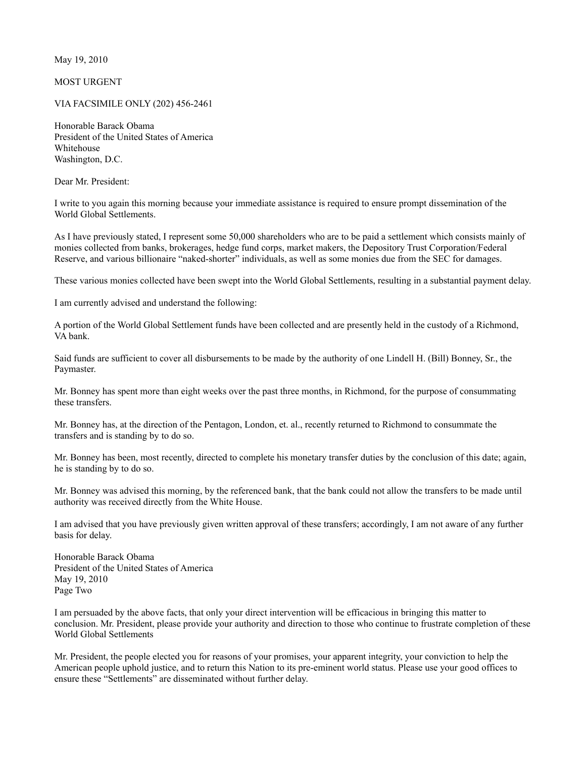May 19, 2010

MOST URGENT

VIA FACSIMILE ONLY (202) 456-2461

Honorable Barack Obama President of the United States of America Whitehouse Washington, D.C.

Dear Mr. President:

I write to you again this morning because your immediate assistance is required to ensure prompt dissemination of the World Global Settlements.

As I have previously stated, I represent some 50,000 shareholders who are to be paid a settlement which consists mainly of monies collected from banks, brokerages, hedge fund corps, market makers, the Depository Trust Corporation/Federal Reserve, and various billionaire "naked-shorter" individuals, as well as some monies due from the SEC for damages.

These various monies collected have been swept into the World Global Settlements, resulting in a substantial payment delay.

I am currently advised and understand the following:

A portion of the World Global Settlement funds have been collected and are presently held in the custody of a Richmond, VA bank.

Said funds are sufficient to cover all disbursements to be made by the authority of one Lindell H. (Bill) Bonney, Sr., the Paymaster.

Mr. Bonney has spent more than eight weeks over the past three months, in Richmond, for the purpose of consummating these transfers.

Mr. Bonney has, at the direction of the Pentagon, London, et. al., recently returned to Richmond to consummate the transfers and is standing by to do so.

Mr. Bonney has been, most recently, directed to complete his monetary transfer duties by the conclusion of this date; again, he is standing by to do so.

Mr. Bonney was advised this morning, by the referenced bank, that the bank could not allow the transfers to be made until authority was received directly from the White House.

I am advised that you have previously given written approval of these transfers; accordingly, I am not aware of any further basis for delay.

Honorable Barack Obama President of the United States of America May 19, 2010 Page Two

I am persuaded by the above facts, that only your direct intervention will be efficacious in bringing this matter to conclusion. Mr. President, please provide your authority and direction to those who continue to frustrate completion of these World Global Settlements

Mr. President, the people elected you for reasons of your promises, your apparent integrity, your conviction to help the American people uphold justice, and to return this Nation to its pre-eminent world status. Please use your good offices to ensure these "Settlements" are disseminated without further delay.